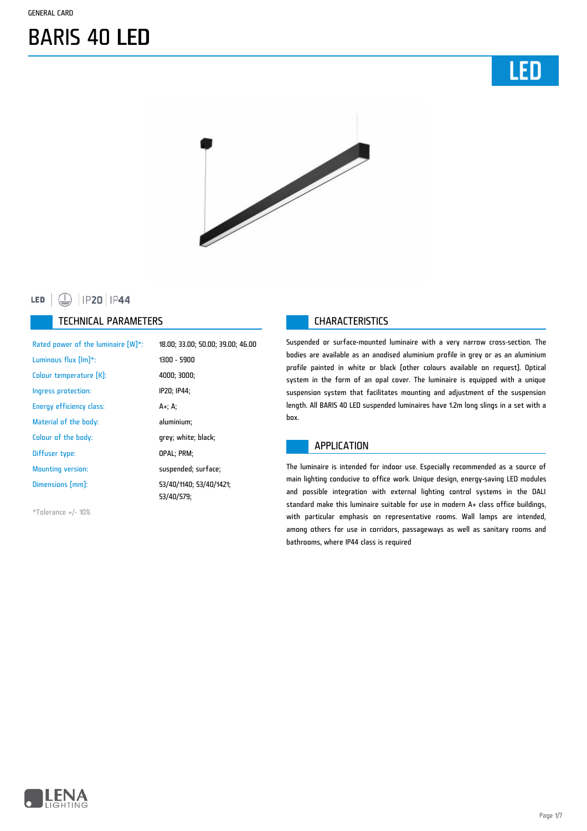



#### **□** | IP20 | IP44 LED |

#### TECHNICAL PARAMETERS **CHARACTERISTICS**

| Rated power of the luminaire [W]*: | 18.00; 33.00; 50.00; 39.00; 46.00     |
|------------------------------------|---------------------------------------|
| Luminous flux [lm]*:               | 1300 - 5900                           |
| Colour temperature [K]:            | 4000; 3000;                           |
| Ingress protection:                | IP20; IP44;                           |
| Energy efficiency class:           | A+; A;                                |
| Material of the body:              | aluminium;                            |
| Colour of the body:                | grey; white; black;                   |
| Diffuser type:                     | OPAL; PRM;                            |
| <b>Mounting version:</b>           | suspended; surface;                   |
| Dimensions [mm]:                   | 53/40/1140; 53/40/1421;<br>53/40/579: |

\*Tolerance +/- 10%

Suspended or surface-mounted luminaire with a very narrow cross-section. The bodies are available as an anodised aluminium profile in grey or as an aluminium profile painted in white or black (other colours available on request). Optical system in the form of an opal cover. The luminaire is equipped with a unique suspension system that facilitates mounting and adjustment of the suspension length. All BARIS 40 LED suspended luminaires have 1.2m long slings in a set with a box.

#### APPLICATION

The luminaire is intended for indoor use. Especially recommended as a source of main lighting conducive to office work. Unique design, energy-saving LED modules and possible integration with external lighting control systems in the DALI standard make this luminaire suitable for use in modern A+ class office buildings, with particular emphasis on representative rooms. Wall lamps are intended, among others for use in corridors, passageways as well as sanitary rooms and bathrooms, where IP44 class is required

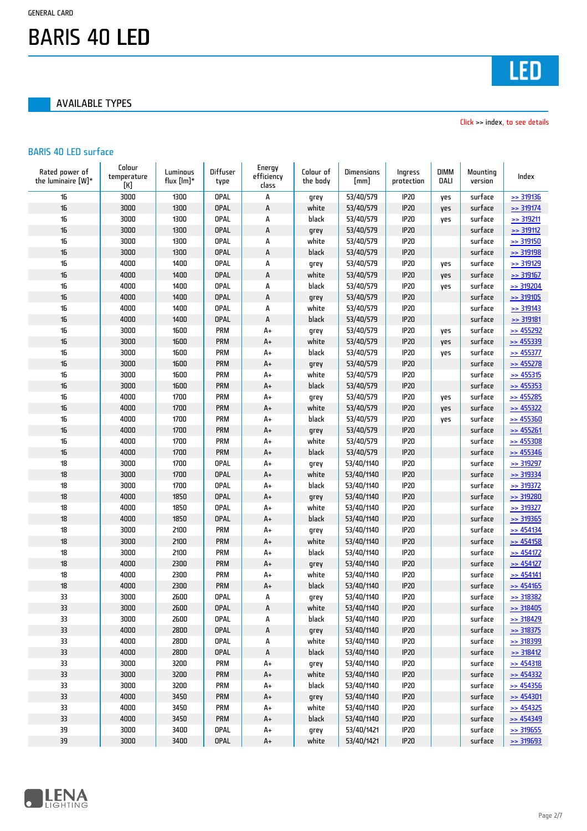AVAILABLE TYPES



Click >> index, to see details

#### BARIS 40 LED surface

| Rated power of<br>the luminaire [W]* | Colour<br>temperature<br>[K] | Luminous<br>flux [lm]* | Diffuser<br>type | Energy<br>efficiency<br>class | Colour of<br>the body | <b>Dimensions</b><br>[mm] | Ingress<br>protection | <b>DIMM</b><br>DALI | Mounting<br>version | Index                  |
|--------------------------------------|------------------------------|------------------------|------------------|-------------------------------|-----------------------|---------------------------|-----------------------|---------------------|---------------------|------------------------|
| 16                                   | 3000                         | 1300                   | <b>OPAL</b>      | А                             | grey                  | 53/40/579                 | IP20                  | yes                 | surface             | $\ge$ 319136           |
| 16                                   | 3000                         | 1300                   | <b>OPAL</b>      | A                             | white                 | 53/40/579                 | IP20                  | yes                 | surface             | $\ge$ 319174           |
| 16                                   | 3000                         | 1300                   | <b>OPAL</b>      | А                             | black                 | 53/40/579                 | IP20                  | yes                 | surface             | $\geq$ 319211          |
| 16                                   | 3000                         | 1300                   | <b>OPAL</b>      | A                             | grey                  | 53/40/579                 | IP20                  |                     | surface             | $\geq$ 319112          |
| 16                                   | 3000                         | 1300                   | <b>OPAL</b>      | А                             | white                 | 53/40/579                 | IP20                  |                     | surface             | >> 319150              |
| 16                                   | 3000                         | 1300                   | <b>OPAL</b>      | A                             | black                 | 53/40/579                 | IP20                  |                     | surface             | <b>&gt;&gt; 319198</b> |
| 16                                   | 4000                         | 1400                   | <b>OPAL</b>      | А                             | grey                  | 53/40/579                 | IP20                  | yes                 | surface             | >> 319129              |
| 16                                   | 4000                         | 1400                   | <b>OPAL</b>      | A                             | white                 | 53/40/579                 | <b>IP20</b>           | yes                 | surface             | $\geq$ 319167          |
| 16                                   | 4000                         | 1400                   | <b>OPAL</b>      | А                             | black                 | 53/40/579                 | IP20                  | yes                 | surface             | $\geq$ 319204          |
| 16                                   | 4000                         | 1400                   | <b>OPAL</b>      | A                             | grey                  | 53/40/579                 | IP20                  |                     | surface             | >> 319105              |
| 16                                   | 4000                         | 1400                   | <b>OPAL</b>      | А                             | white                 | 53/40/579                 | IP20                  |                     | surface             | $\geq$ 319143          |
| 16                                   | 4000                         | 1400                   | <b>OPAL</b>      | A                             | black                 | 53/40/579                 | IP20                  |                     | surface             | $>$ 319181             |
| 16                                   | 3000                         | 1600                   | PRM              | $A+$                          | grey                  | 53/40/579                 | IP20                  | yes                 | surface             | $\geq$ 455292          |
| 16                                   | 3000                         | 1600                   | <b>PRM</b>       | $A+$                          | white                 | 53/40/579                 | IP20                  | yes                 | surface             | $\geq$ 455339          |
| 16                                   | 3000                         | 1600                   | PRM              | $A+$                          | black                 | 53/40/579                 | IP20                  | yes                 | surface             | $\geq$ 455377          |
| 16                                   | 3000                         | 1600                   | PRM              | $\mathsf{A}\texttt{+}$        | grey                  | 53/40/579                 | <b>IP20</b>           |                     | surface             | $\geq$ 455278          |
| 16                                   | 3000                         | 1600                   | <b>PRM</b>       | $A+$                          | white                 | 53/40/579                 | IP20                  |                     | surface             | $\geq$ 455315          |
| 16                                   | 3000                         | 1600                   | <b>PRM</b>       | A+                            | black                 | 53/40/579                 | IP20                  |                     | surface             | $\Rightarrow$ 455353   |
| 16                                   | 4000                         | 1700                   | <b>PRM</b>       | $A+$                          | grey                  | 53/40/579                 | IP20                  | yes                 | surface             | $\geq$ 455285          |
| 16                                   | 4000                         | 1700                   | <b>PRM</b>       | $\mathsf{A}\texttt{+}$        | white                 | 53/40/579                 | IP20                  | yes                 | surface             | $\geq$ 455322          |
| 16                                   | 4000                         | 1700                   | PRM              | $A+$                          | black                 | 53/40/579                 | IP20                  | yes                 | surface             | $\geq$ 455360          |
| 16                                   | 4000                         | 1700                   | <b>PRM</b>       | A+                            | grey                  | 53/40/579                 | IP20                  |                     | surface             | $\ge$ 455261           |
| 16                                   | 4000                         | 1700                   | <b>PRM</b>       | A+                            | white                 | 53/40/579                 | IP20                  |                     | surface             | $\geq$ 455308          |
| 16                                   | 4000                         | 1700                   | PRM              | $\mathsf{A}\texttt{+}$        | black                 | 53/40/579                 | <b>IP20</b>           |                     | surface             | $\Rightarrow$ 455346   |
| 18                                   | 3000                         | 1700                   | <b>OPAL</b>      | $A+$                          | grey                  | 53/40/1140                | IP20                  |                     | surface             | >> 319297              |
| 18                                   | 3000                         | 1700                   | <b>OPAL</b>      | A+                            | white                 | 53/40/1140                | IP20                  |                     | surface             | $\ge$ 319334           |
| 18                                   | 3000                         | 1700                   | <b>OPAL</b>      | $A+$                          | black                 | 53/40/1140                | IP20                  |                     | surface             | $\ge$ 319372           |
| 18                                   | 4000                         | 1850                   | <b>OPAL</b>      | $\mathsf{A}\texttt{+}$        | grey                  | 53/40/1140                | IP20                  |                     | surface             | >> 319280              |
| 18                                   | 4000                         | 1850                   | <b>OPAL</b>      | $A+$                          | white                 | 53/40/1140                | IP20                  |                     | surface             | $\geq$ 319327          |
| 18                                   | 4000                         | 1850                   | <b>OPAL</b>      | $A+$                          | black                 | 53/40/1140                | IP20                  |                     | surface             | $\geq$ 319365          |
| 18                                   | 3000                         | 2100                   | PRM              | $A+$                          | grey                  | 53/40/1140                | IP20                  |                     | surface             | $\geq$ 454134          |
| 18                                   | 3000                         | 2100                   | PRM              | $\mathsf{A}\texttt{+}$        | white                 | 53/40/1140                | <b>IP20</b>           |                     | surface             | $\geq$ 454158          |
| 18                                   | 3000                         | 2100                   | PRM              | A+                            | black                 | 53/40/1140                | IP20                  |                     | surface             | $\ge$ 454172           |
| 18                                   | 4000                         | 2300                   | <b>PRM</b>       | A+                            | grey                  | 53/40/1140                | <b>IP20</b>           |                     | surface             | $\Rightarrow$ 454127   |
| 18                                   | 4000                         | 2300                   | PRM              | A+                            | white                 | 53/40/1140                | IP20                  |                     | surface             | $\ge$ 454141           |
| 18                                   | 4000                         | 2300                   | <b>PRM</b>       | $\mathsf{A}\texttt{+}$        | black                 | 53/40/1140                | IP20                  |                     | surface             | $\geq$ 454165          |
| 33                                   | 3000                         | 2600                   | <b>OPAL</b>      | А                             | grey                  | 53/40/1140                | <b>IP20</b>           |                     | surface             | $\ge$ 318382           |
| 33                                   | 3000                         | 2600                   | <b>OPAL</b>      | А                             | white                 | 53/40/1140                | <b>IP20</b>           |                     | surface             | $\geq$ 318405          |
| 33                                   | 3000                         | 2600                   | <b>OPAL</b>      | А                             | black                 | 53/40/1140                | IP20                  |                     | surface             | $\geq$ 318429          |
| 33                                   | 4000                         | 2800                   | <b>OPAL</b>      | A                             | grey                  | 53/40/1140                | IP20                  |                     | surface             | $\geq$ 318375          |
| 33                                   | 4000                         | 2800                   | <b>OPAL</b>      | А                             | white                 | 53/40/1140                | IP20                  |                     | surface             | <b>&gt;&gt; 318399</b> |
| 33                                   | 4000                         | 2800                   | <b>OPAL</b>      | A                             | black                 | 53/40/1140                | IP20                  |                     | surface             | $\geq$ 318412          |
| 33                                   | 3000                         | 3200                   | <b>PRM</b>       | A+                            | grey                  | 53/40/1140                | IP20                  |                     | surface             | $\geq$ 454318          |
| 33                                   | 3000                         | 3200                   | PRM              | A+                            | white                 | 53/40/1140                | IP20                  |                     | surface             | $\geq$ 454332          |
| 33                                   | 3000                         | 3200                   | <b>PRM</b>       | A+                            | black                 | 53/40/1140                | IP20                  |                     | surface             | $\geq$ 454356          |
| 33                                   | 4000                         | 3450                   | PRM              | $A+$                          | grey                  | 53/40/1140                | IP20                  |                     | surface             | $\geq$ 454301          |
| 33                                   | 4000                         | 3450                   | <b>PRM</b>       | $A+$                          | white                 | 53/40/1140                | IP20                  |                     | surface             | $\geq$ 454325          |
| 33                                   | 4000                         | 3450                   | PRM              | $\mathsf{A}\texttt{+}$        | black                 | 53/40/1140                | IP20                  |                     | surface             | $\geq$ 454349          |
| 39                                   | 3000                         | 3400                   | <b>OPAL</b>      | A+                            | grey                  | 53/40/1421                | IP20                  |                     | surface             | $\geq$ 319655          |
| 39                                   | 3000                         | 3400                   | <b>OPAL</b>      | $A+$                          | white                 | 53/40/1421                | IP20                  |                     | surface             | $>$ 319693             |

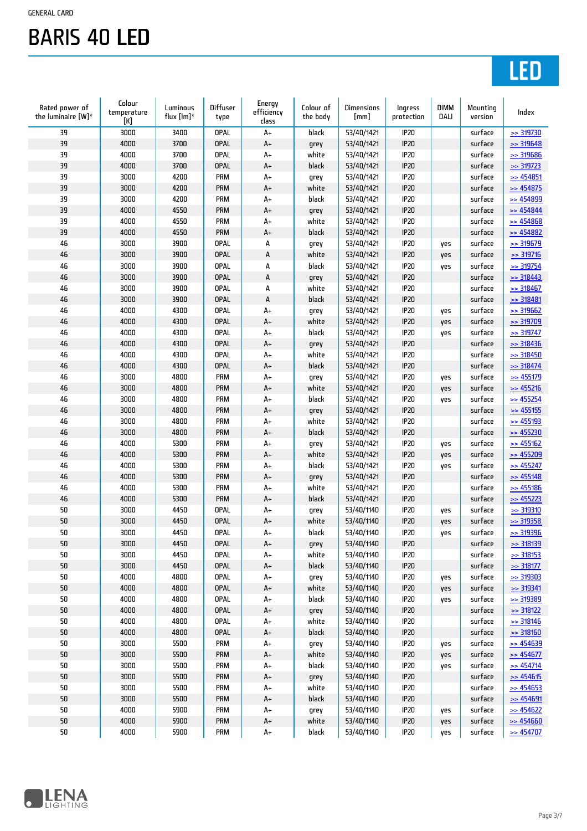# LED

| Rated power of<br>the luminaire [W]* | Colour<br>temperature<br>[K] | Luminous<br>flux $[Im]^*$ | Diffuser<br>type | Energy<br>efficiency<br>class | Colour of<br>the body | Dimensions<br>[mm] | Ingress<br>protection | <b>DIMM</b><br>DALI | Mounting<br>version | Index                  |
|--------------------------------------|------------------------------|---------------------------|------------------|-------------------------------|-----------------------|--------------------|-----------------------|---------------------|---------------------|------------------------|
| 39                                   | 3000                         | 3400                      | <b>OPAL</b>      | $A+$                          | black                 | 53/40/1421         | IP20                  |                     | surface             | $\Rightarrow$ 319730   |
| 39                                   | 4000                         | 3700                      | <b>OPAL</b>      | $A+$                          | grey                  | 53/40/1421         | <b>IP20</b>           |                     | surface             | $\geq$ 319648          |
| 39                                   | 4000                         | 3700                      | <b>OPAL</b>      | $A+$                          | white                 | 53/40/1421         | <b>IP20</b>           |                     | surface             | >> 319686              |
| 39                                   | 4000                         | 3700                      | <b>OPAL</b>      | A+                            | black                 | 53/40/1421         | <b>IP20</b>           |                     | surface             | $\geq$ 319723          |
| 39                                   | 3000                         | 4200                      | PRM              | $A+$                          | grey                  | 53/40/1421         | <b>IP20</b>           |                     | surface             | $\geq$ 454851          |
| 39                                   | 3000                         | 4200                      | <b>PRM</b>       | $\mathsf{A}\texttt{+}$        | white                 | 53/40/1421         | <b>IP20</b>           |                     | surface             | $\geq$ 454875          |
| 39                                   | 3000                         | 4200                      | <b>PRM</b>       | $A+$                          | black                 | 53/40/1421         | <b>IP20</b>           |                     | surface             | $\geq$ 454899          |
| 39                                   | 4000                         | 4550                      | <b>PRM</b>       | A+                            | grey                  | 53/40/1421         | <b>IP20</b>           |                     | surface             | $\geq$ 454844          |
| 39                                   | 4000                         | 4550                      | <b>PRM</b>       | $A+$                          | white                 | 53/40/1421         | <b>IP20</b>           |                     | surface             | $\geq$ 454868          |
| 39                                   | 4000                         | 4550                      | <b>PRM</b>       | $\mathsf{A}\texttt{+}$        | black                 | 53/40/1421         | <b>IP20</b>           |                     | surface             | $\geq$ 454882          |
| 46                                   | 3000                         | 3900                      | <b>OPAL</b>      | А                             | grey                  | 53/40/1421         | <b>IP20</b>           | yes                 | surface             | >> 319679              |
| 46                                   | 3000                         | 3900                      | <b>OPAL</b>      | A                             | white                 | 53/40/1421         | <b>IP20</b>           | yes                 | surface             | $\geq$ 319716          |
| 46                                   | 3000                         | 3900                      | <b>OPAL</b>      | А                             | black                 | 53/40/1421         | <b>IP20</b>           | yes                 | surface             | $\geq$ 319754          |
| 46                                   | 3000                         | 3900                      | <b>OPAL</b>      | A                             | grey                  | 53/40/1421         | <b>IP20</b>           |                     | surface             | $\geq$ 318443          |
| 46                                   | 3000                         | 3900                      | <b>OPAL</b>      | А                             | white                 | 53/40/1421         | IP20                  |                     | surface             | $\geq$ 318467          |
| 46                                   | 3000                         | 3900                      | <b>OPAL</b>      | A                             | black                 | 53/40/1421         | IP20                  |                     | surface             | $\geq$ 318481          |
| 46                                   | 4000                         | 4300                      | <b>OPAL</b>      | $A+$                          | grey                  | 53/40/1421         | IP20                  | yes                 | surface             | $>$ 319662             |
| 46                                   | 4000                         | 4300                      | <b>OPAL</b>      | $\mathsf{A}\texttt{+}$        | white                 | 53/40/1421         | IP20                  | yes                 | surface             | >> 319709              |
| 46                                   | 4000                         | 4300                      | <b>OPAL</b>      | $A+$                          | black                 | 53/40/1421         | <b>IP20</b>           | yes                 | surface             | $\geq$ 319747          |
| 46                                   | 4000                         | 4300                      | <b>OPAL</b>      | A+                            | grey                  | 53/40/1421         | IP20                  |                     | surface             | >318436                |
| 46                                   | 4000                         | 4300                      | <b>OPAL</b>      | A+                            | white                 | 53/40/1421         | <b>IP20</b>           |                     | surface             | $\geq$ 318450          |
| 46                                   | 4000                         | 4300                      | <b>OPAL</b>      | $\mathsf{A}\texttt{+}$        | black                 | 53/40/1421         | <b>IP20</b>           |                     | surface             | $\geq$ 318474          |
| 46                                   | 3000                         | 4800                      | <b>PRM</b>       | $A+$                          | grey                  | 53/40/1421         | <b>IP20</b>           | yes                 | surface             | $\geq$ 455179          |
| 46                                   | 3000                         | 4800                      | <b>PRM</b>       | A+                            | white                 | 53/40/1421         | IP20                  | yes                 | surface             | $\geq$ 455216          |
| 46                                   | 3000                         | 4800                      | <b>PRM</b>       | $A+$                          | black                 | 53/40/1421         | <b>IP20</b>           | yes                 | surface             | $\geq$ 455254          |
| 46                                   | 3000                         | 4800                      | <b>PRM</b>       | $\mathsf{A}\texttt{+}$        | grey                  | 53/40/1421         | <b>IP20</b>           |                     | surface             | $\geq$ 455155          |
| 46                                   | 3000                         | 4800                      | <b>PRM</b>       | $A+$                          | white                 | 53/40/1421         | <b>IP20</b>           |                     | surface             | $\geq$ 455193          |
| 46                                   | 3000                         | 4800                      | <b>PRM</b>       | $A+$                          | black                 | 53/40/1421         | IP20                  |                     | surface             | $\geq$ 455230          |
| 46                                   | 4000                         | 5300                      | PRM              | $A+$                          | grey                  | 53/40/1421         | <b>IP20</b>           | yes                 | surface             | $\geq$ 455162          |
| 46                                   | 4000                         | 5300                      | <b>PRM</b>       | $\mathsf{A}\texttt{+}$        | white                 | 53/40/1421         | <b>IP20</b>           | yes                 | surface             | $\geq$ 455209          |
| 46                                   | 4000                         | 5300                      | <b>PRM</b>       | $A+$                          | black                 | 53/40/1421         | IP20                  | yes                 | surface             | $\geq$ 455247          |
| 46                                   | 4000                         | 5300                      | <b>PRM</b>       | A+                            | grey                  | 53/40/1421         | IP20                  |                     | surface             | $\geq$ 455148          |
| 46                                   | 4000                         | 5300                      | <b>PRM</b>       | $A+$                          | white                 | 53/40/1421         | IP20                  |                     | surface             | $\geq$ 455186          |
| 46                                   | 4000                         | 5300                      | <b>PRM</b>       | $\mathsf{A}\texttt{+}$        | black                 | 53/40/1421         | IP20                  |                     | surface             | $\geq$ 455223          |
| 50                                   | 3000                         | 4450                      | <b>OPAL</b>      | $A+$                          | grey                  | 53/40/1140         | IP20                  | yes                 | surface             | $>$ 319310             |
| 50                                   | 3000                         | 4450                      | <b>OPAL</b>      | $A+$                          | white                 | 53/40/1140         | IP20                  | yes                 | surface             | $\ge$ 319358           |
| 50                                   | 3000                         | 4450                      | <b>OPAL</b>      | $A+$                          | black                 | 53/40/1140         | <b>IP20</b>           | yes                 | surface             | >> 319396              |
| 50                                   | 3000                         | 4450                      | <b>OPAL</b>      | $\mathsf{A}\texttt{+}$        | grey                  | 53/40/1140         | IP20                  |                     | surface             | <b>&gt;&gt; 318139</b> |
| 50                                   | 3000                         | 4450                      | <b>OPAL</b>      | $A+$                          | white                 | 53/40/1140         | IP20                  |                     | surface             | $\geq$ 318153          |
| 50                                   | 3000                         | 4450                      | OPAL             | A+                            | black                 | 53/40/1140         | IP20                  |                     | surface             | $\geq$ 318177          |
| 50                                   | 4000                         | 4800                      | <b>OPAL</b>      | A+                            | grey                  | 53/40/1140         | IP20                  | yes                 | surface             | $\geq$ 319303          |
| $50\,$                               | 4000                         | 4800                      | OPAL             | $\mathsf{A}\texttt{+}$        | white                 | 53/40/1140         | IP20                  | yes                 | surface             | $\geq$ 319341          |
| 50                                   | 4000                         | 4800                      | <b>OPAL</b>      | A+                            | black                 | 53/40/1140         | IP20                  | yes                 | surface             | <b>&gt;&gt; 319389</b> |
| 50                                   | 4000                         | 4800                      | <b>OPAL</b>      | $A+$                          | grey                  | 53/40/1140         | IP20                  |                     | surface             | $\geq$ 318122          |
| 50                                   | 4000                         | 4800                      | <b>OPAL</b>      | $A+$                          | white                 | 53/40/1140         | <b>IP20</b>           |                     | surface             | $\geq$ 318146          |
| $50\,$                               | 4000                         | 4800                      | <b>OPAL</b>      | $\mathsf{A}\texttt{+}$        | black                 | 53/40/1140         | IP20                  |                     | surface             | > 318160               |
| 50                                   | 3000                         | 5500                      | PRM              | A+                            | grey                  | 53/40/1140         | IP20                  | yes                 | surface             | $\geq$ 454639          |
| 50                                   | 3000                         | 5500                      | <b>PRM</b>       | A+                            | white                 | 53/40/1140         | IP20                  | yes                 | surface             | $\geq$ 454677          |
| 50                                   | 3000                         | 5500                      | <b>PRM</b>       | A+                            | black                 | 53/40/1140         | IP20                  | yes                 | surface             | $\geq$ 454714          |
| $50\,$                               | 3000                         | 5500                      | PRM              | A+                            | grey                  | 53/40/1140         | IP20                  |                     | surface             | $\geq$ 454615          |
| 50                                   | 3000                         | 5500                      | <b>PRM</b>       | A+                            | white                 | 53/40/1140         | IP20                  |                     | surface             | $\geq$ 454653          |
| 50                                   | 3000                         | 5500                      | <b>PRM</b>       | $A+$                          | black                 | 53/40/1140         | IP20                  |                     | surface             | $\geq$ 454691          |
| 50                                   | 4000                         | 5900                      | <b>PRM</b>       | $A+$                          | grey                  | 53/40/1140         | IP20                  | yes                 | surface             | $\geq$ 454622          |
| 50                                   | 4000                         | 5900                      | PRM              | $\mathsf{A}\texttt{+}$        | white                 | 53/40/1140         | IP20                  | yes                 | surface             | $\geq$ 454660          |
| 50                                   | 4000                         | 5900                      | <b>PRM</b>       | $\mathsf{A}\texttt{+}$        | black                 | 53/40/1140         | IP20                  | yes                 | surface             | $\geq$ 454707          |
|                                      |                              |                           |                  |                               |                       |                    |                       |                     |                     |                        |

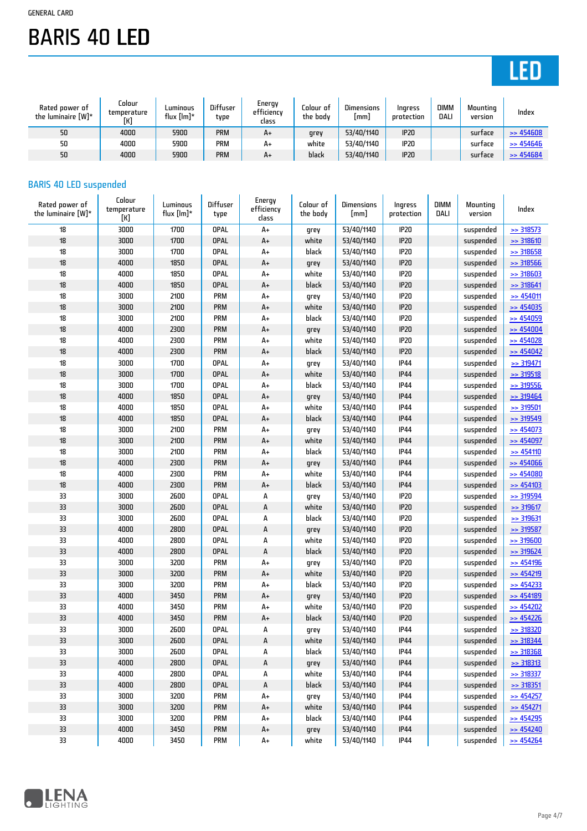# LED

| Rated power of<br>the luminaire [W]* | Colour<br>temperature<br>[K] | Luminous<br>flux $[Im]$ * | <b>Diffuser</b><br>type | Energy<br>efficiency<br>class | Colour of<br>the body | <b>Dimensions</b><br>(mm) | Ingress<br>protection | <b>DIMM</b><br>DALI | Mountina<br>version | Index                |
|--------------------------------------|------------------------------|---------------------------|-------------------------|-------------------------------|-----------------------|---------------------------|-----------------------|---------------------|---------------------|----------------------|
| 50                                   | 4000                         | 5900                      | <b>PRM</b>              | A+                            | grey                  | 53/40/1140                | IP <sub>20</sub>      |                     | surtace             | $\Rightarrow$ 454608 |
| 50                                   | 4000                         | 5900                      | <b>PRM</b>              | $A+$                          | white                 | 53/40/1140                | <b>IP20</b>           |                     | surtace             | $\Rightarrow$ 454646 |
| 50                                   | 4000                         | 5900                      | <b>PRM</b>              | A+                            | black                 | 53/40/1140                | <b>IP20</b>           |                     | surtace             | $\Rightarrow$ 454684 |

### BARIS 40 LED suspended

| Rated power of<br>the luminaire $[W]^*$ | Colour<br>temperature<br>[K] | Luminous<br>flux $[Im]^*$ | Diffuser<br>type | Energy<br>efficiency<br>class | Colour of<br>the body | <b>Dimensions</b><br>[mm] | Ingress<br>protection | <b>DIMM</b><br>DALI | Mounting<br>version | Index                |
|-----------------------------------------|------------------------------|---------------------------|------------------|-------------------------------|-----------------------|---------------------------|-----------------------|---------------------|---------------------|----------------------|
| 18                                      | 3000                         | 1700                      | <b>OPAL</b>      | A+                            | grey                  | 53/40/1140                | IP20                  |                     | suspended           | $\geq$ 318573        |
| $18\,$                                  | 3000                         | 1700                      | OPAL             | $\mathsf{A}\texttt{+}$        | white                 | 53/40/1140                | <b>IP20</b>           |                     | suspended           | >> 318610            |
| 18                                      | 3000                         | 1700                      | <b>OPAL</b>      | A+                            | black                 | 53/40/1140                | <b>IP20</b>           |                     | suspended           | $\geq$ 318658        |
| 18                                      | 4000                         | 1850                      | <b>OPAL</b>      | $A+$                          | grey                  | 53/40/1140                | <b>IP20</b>           |                     | suspended           | $\ge$ 318566         |
| 18                                      | 4000                         | 1850                      | <b>OPAL</b>      | A+                            | white                 | 53/40/1140                | IP20                  |                     | suspended           | $>$ 318603           |
| $18\,$                                  | 4000                         | 1850                      | <b>OPAL</b>      | $A+$                          | black                 | 53/40/1140                | <b>IP20</b>           |                     | suspended           | $\geq$ 318641        |
| 18                                      | 3000                         | 2100                      | <b>PRM</b>       | A+                            | grey                  | 53/40/1140                | IP20                  |                     | suspended           | $\geq$ 454011        |
| 18                                      | 3000                         | 2100                      | <b>PRM</b>       | $A+$                          | white                 | 53/40/1140                | <b>IP20</b>           |                     | suspended           | $\geq$ 454035        |
| 18                                      | 3000                         | 2100                      | <b>PRM</b>       | A+                            | black                 | 53/40/1140                | IP20                  |                     | suspended           | $\geq$ 454059        |
| 18                                      | 4000                         | 2300                      | <b>PRM</b>       | $A+$                          | grey                  | 53/40/1140                | <b>IP20</b>           |                     | suspended           | $\Rightarrow$ 454004 |
| 18                                      | 4000                         | 2300                      | <b>PRM</b>       | A+                            | white                 | 53/40/1140                | IP20                  |                     | suspended           | $\geq$ 454028        |
| 18                                      | 4000                         | 2300                      | PRM              | A+                            | black                 | 53/40/1140                | <b>IP20</b>           |                     | suspended           | $\Rightarrow$ 454042 |
| 18                                      | 3000                         | 1700                      | <b>OPAL</b>      | A+                            | grey                  | 53/40/1140                | <b>IP44</b>           |                     | suspended           | $\geq$ 319471        |
| $18\,$                                  | 3000                         | 1700                      | <b>OPAL</b>      | A+                            | white                 | 53/40/1140                | <b>IP44</b>           |                     | suspended           | $>$ 319518           |
| 18                                      | 3000                         | 1700                      | <b>OPAL</b>      | A+                            | black                 | 53/40/1140                | <b>IP44</b>           |                     | suspended           | $\geq$ 319556        |
| $18\,$                                  | 4000                         | 1850                      | <b>OPAL</b>      | $A+$                          | grey                  | 53/40/1140                | <b>IP44</b>           |                     | suspended           | $\geq$ 319464        |
| 18                                      | 4000                         | 1850                      | <b>OPAL</b>      | A+                            | white                 | 53/40/1140                | <b>IP44</b>           |                     | suspended           | $\geq$ 319501        |
| $18\,$                                  | 4000                         | 1850                      | <b>OPAL</b>      | $A+$                          | black                 | 53/40/1140                | <b>IP44</b>           |                     | suspended           | >> 319549            |
| 18                                      | 3000                         | 2100                      | <b>PRM</b>       | A+                            | grey                  | 53/40/1140                | <b>IP44</b>           |                     | suspended           | $\geq$ 454073        |
| 18                                      | 3000                         | 2100                      | <b>PRM</b>       | $A+$                          | white                 | 53/40/1140                | <b>IP44</b>           |                     | suspended           | $\Rightarrow$ 454097 |
| 18                                      | 3000                         | 2100                      | <b>PRM</b>       | A+                            | black                 | 53/40/1140                | <b>IP44</b>           |                     | suspended           | $\Rightarrow$ 454110 |
| $18\,$                                  | 4000                         | 2300                      | <b>PRM</b>       | $A+$                          | grey                  | 53/40/1140                | <b>IP44</b>           |                     | suspended           | $\geq$ 454066        |
| 18                                      | 4000                         | 2300                      | <b>PRM</b>       | A+                            | white                 | 53/40/1140                | <b>IP44</b>           |                     | suspended           | $\geq$ 454080        |
| $18\,$                                  | 4000                         | 2300                      | <b>PRM</b>       | $A+$                          | black                 | 53/40/1140                | <b>IP44</b>           |                     | suspended           | $\geq$ 454103        |
| 33                                      | 3000                         | 2600                      | <b>OPAL</b>      | А                             | grey                  | 53/40/1140                | IP20                  |                     | suspended           | $\geq$ 319594        |
| 33                                      | 3000                         | 2600                      | OPAL             | A                             | white                 | 53/40/1140                | <b>IP20</b>           |                     | suspended           | $\ge$ 319617         |
| 33                                      | 3000                         | 2600                      | <b>OPAL</b>      | А                             | black                 | 53/40/1140                | IP20                  |                     | suspended           | >> 319631            |
| 33                                      | 4000                         | 2800                      | <b>OPAL</b>      | A                             | grey                  | 53/40/1140                | <b>IP20</b>           |                     | suspended           | >> 319587            |
| 33                                      | 4000                         | 2800                      | <b>OPAL</b>      | А                             | white                 | 53/40/1140                | IP20                  |                     | suspended           | $>$ 319600           |
| 33                                      | 4000                         | 2800                      | <b>OPAL</b>      | А                             | black                 | 53/40/1140                | <b>IP20</b>           |                     | suspended           | $\geq$ 319624        |
| 33                                      | 3000                         | 3200                      | <b>PRM</b>       | A+                            | grey                  | 53/40/1140                | IP20                  |                     | suspended           | $\geq$ 454196        |
| 33                                      | 3000                         | 3200                      | <b>PRM</b>       | $\mathsf{A}\texttt{+}$        | white                 | 53/40/1140                | <b>IP20</b>           |                     | suspended           | $\geq$ 454219        |
| 33                                      | 3000                         | 3200                      | <b>PRM</b>       | A+                            | black                 | 53/40/1140                | IP20                  |                     | suspended           | $\geq$ 454233        |
| 33                                      | 4000                         | 3450                      | <b>PRM</b>       | $A+$                          | grey                  | 53/40/1140                | <b>IP20</b>           |                     | suspended           | $\geq$ 454189        |
| 33                                      | 4000                         | 3450                      | <b>PRM</b>       | A+                            | white                 | 53/40/1140                | <b>IP20</b>           |                     | suspended           | $\geq$ 454202        |
| 33                                      | 4000                         | 3450                      | PRM              | A+                            | black                 | 53/40/1140                | <b>IP20</b>           |                     | suspended           | $\Rightarrow$ 454226 |
| 33                                      | 3000                         | 2600                      | OPAL             | А                             | grey                  | 53/40/1140                | <b>IP44</b>           |                     | suspended           | $\geq$ 318320        |
| 33                                      | 3000                         | 2600                      | <b>OPAL</b>      | А                             | white                 | 53/40/1140                | <b>IP44</b>           |                     | suspended           | $\ge$ 318344         |
| 33                                      | 3000                         | 2600                      | <b>OPAL</b>      | А                             | black                 | 53/40/1140                | <b>IP44</b>           |                     | suspended           | $>$ 318368           |
| 33                                      | 4000                         | 2800                      | <b>OPAL</b>      | A                             | grey                  | 53/40/1140                | <b>IP44</b>           |                     | suspended           | >318313              |
| 33                                      | 4000                         | 2800                      | <b>OPAL</b>      | А                             | white                 | 53/40/1140                | <b>IP44</b>           |                     | suspended           | $\geq$ 318337        |
| 33                                      | 4000                         | 2800                      | <b>OPAL</b>      | А                             | black                 | 53/40/1140                | <b>IP44</b>           |                     | suspended           | $\geq$ 318351        |
| 33                                      | 3000                         | 3200                      | <b>PRM</b>       | A+                            | grey                  | 53/40/1140                | <b>IP44</b>           |                     | suspended           | $\geq$ 454257        |
| 33                                      | 3000                         | 3200                      | <b>PRM</b>       | A+                            | white                 | 53/40/1140                | <b>IP44</b>           |                     | suspended           | $\geq$ 454271        |
| 33                                      | 3000                         | 3200                      | <b>PRM</b>       | A+                            | black                 | 53/40/1140                | <b>IP44</b>           |                     | suspended           | $\geq$ 454295        |
| 33                                      | 4000                         | 3450                      | <b>PRM</b>       | A+                            | grey                  | 53/40/1140                | <b>IP44</b>           |                     | suspended           | $\geq$ 454240        |
| 33                                      | 4000                         | 3450                      | <b>PRM</b>       | $\mathsf{A}\texttt{+}$        | white                 | 53/40/1140                | <b>IP44</b>           |                     | suspended           | $\geq$ 454264        |

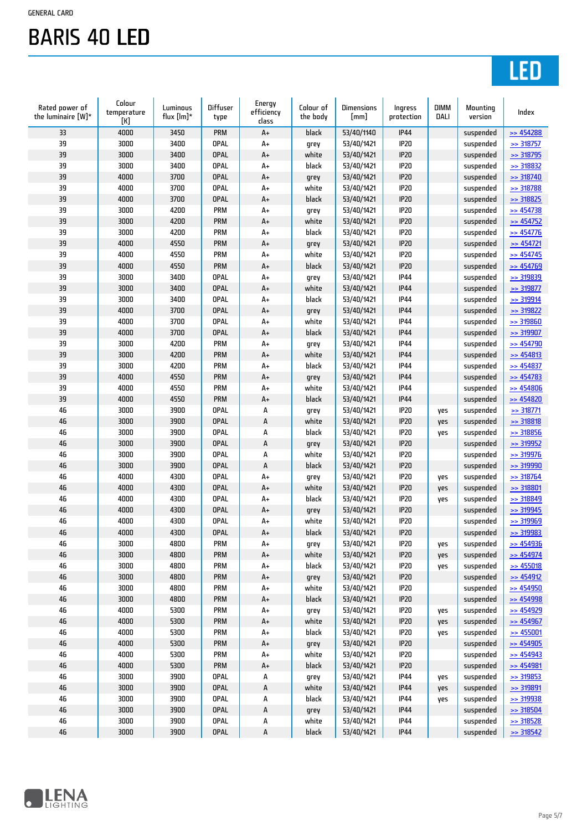# LED

| Rated power of<br>the luminaire [W]* | Colour<br>temperature<br>[K] | Luminous<br>flux $[Im]^*$ | Diffuser<br>type | Energy<br>efficiency<br>class | Colour of<br>the body | Dimensions<br>[mm] | Ingress<br>protection | <b>DIMM</b><br>DALI | Mounting<br>version | Index                  |
|--------------------------------------|------------------------------|---------------------------|------------------|-------------------------------|-----------------------|--------------------|-----------------------|---------------------|---------------------|------------------------|
| 33                                   | 4000                         | 3450                      | <b>PRM</b>       | A+                            | black                 | 53/40/1140         | <b>IP44</b>           |                     | suspended           | $\geq$ 454288          |
| 39                                   | 3000                         | 3400                      | <b>OPAL</b>      | $A+$                          | grey                  | 53/40/1421         | IP20                  |                     | suspended           | $\geq$ 318757          |
| 39                                   | 3000                         | 3400                      | <b>OPAL</b>      | A+                            | white                 | 53/40/1421         | <b>IP20</b>           |                     | suspended           | >> 318795              |
| 39                                   | 3000                         | 3400                      | <b>OPAL</b>      | $A+$                          | black                 | 53/40/1421         | <b>IP20</b>           |                     | suspended           | $\geq$ 318832          |
| 39                                   | 4000                         | 3700                      | <b>OPAL</b>      | A+                            | grey                  | 53/40/1421         | <b>IP20</b>           |                     | suspended           | $\geq$ 318740          |
| 39                                   | 4000                         | 3700                      | <b>OPAL</b>      | A+                            | white                 | 53/40/1421         | IP20                  |                     | suspended           | >> 318788              |
| 39                                   | 4000                         | 3700                      | <b>OPAL</b>      | A+                            | black                 | 53/40/1421         | <b>IP20</b>           |                     | suspended           | >> 318825              |
| 39                                   | 3000                         | 4200                      | <b>PRM</b>       | $A+$                          | grey                  | 53/40/1421         | IP20                  |                     | suspended           | $\geq$ 454738          |
| 39                                   | 3000                         | 4200                      | <b>PRM</b>       | A+                            | white                 | 53/40/1421         | IP20                  |                     | suspended           | $\geq$ 454752          |
| 39                                   | 3000                         | 4200                      | <b>PRM</b>       | $A+$                          | black                 | 53/40/1421         | IP20                  |                     | suspended           | $\geq$ 454776          |
| 39                                   | 4000                         | 4550                      | <b>PRM</b>       | A+                            | grey                  | 53/40/1421         | <b>IP20</b>           |                     | suspended           | $\geq$ 454721          |
| 39                                   | 4000                         | 4550                      | PRM              | A+                            | white                 | 53/40/1421         | <b>IP20</b>           |                     | suspended           | $\geq$ 454745          |
| 39                                   | 4000                         | 4550                      | <b>PRM</b>       | $A+$                          | black                 | 53/40/1421         | <b>IP20</b>           |                     | suspended           | $\geq$ 454769          |
| 39                                   | 3000                         | 3400                      | <b>OPAL</b>      | $A+$                          | grey                  | 53/40/1421         | <b>IP44</b>           |                     | suspended           | >> 319839              |
| 39                                   | 3000                         | 3400                      | <b>OPAL</b>      | A+                            | white                 | 53/40/1421         | <b>IP44</b>           |                     | suspended           | $\geq$ 319877          |
| 39                                   | 3000                         | 3400                      | <b>OPAL</b>      | $A+$                          | black                 | 53/40/1421         | <b>IP44</b>           |                     | suspended           | $\geq$ 319914          |
| 39                                   | 4000                         | 3700                      | <b>OPAL</b>      | $\mathsf{A}\texttt{+}$        | grey                  | 53/40/1421         | <b>IP44</b>           |                     | suspended           | $\geq$ 319822          |
| 39                                   | 4000                         | 3700                      | <b>OPAL</b>      | $A+$                          | white                 | 53/40/1421         | <b>IP44</b>           |                     | suspended           | $>$ 319860             |
| 39                                   | 4000                         | 3700                      | <b>OPAL</b>      | A+                            | black                 | 53/40/1421         | <b>IP44</b>           |                     | suspended           | >> 319907              |
| 39                                   | 3000                         | 4200                      | <b>PRM</b>       | $A+$                          | grey                  | 53/40/1421         | <b>IP44</b>           |                     | suspended           | $\geq$ 454790          |
| 39                                   | 3000                         | 4200                      | PRM              | A+                            | white                 | 53/40/1421         | <b>IP44</b>           |                     | suspended           | $\geq$ 454813          |
| 39                                   | 3000                         | 4200                      | PRM              | A+                            | black                 | 53/40/1421         | <b>IP44</b>           |                     | suspended           | $\geq$ 454837          |
| 39                                   | 4000                         | 4550                      | <b>PRM</b>       | A+                            | grey                  | 53/40/1421         | <b>IP44</b>           |                     | suspended           | $\Rightarrow$ 454783   |
| 39                                   | 4000                         | 4550                      | <b>PRM</b>       | $A+$                          | white                 | 53/40/1421         | <b>IP44</b>           |                     | suspended           | $\geq$ 454806          |
| 39                                   | 4000                         | 4550                      | <b>PRM</b>       | $A+$                          | black                 | 53/40/1421         | <b>IP44</b>           |                     | suspended           | $\geq$ 454820          |
| 46                                   | 3000                         | 3900                      | <b>OPAL</b>      | А                             | grey                  | 53/40/1421         | IP20                  | yes                 | suspended           | $\geq$ 318771          |
| 46                                   | 3000                         | 3900                      | <b>OPAL</b>      | A                             | white                 | 53/40/1421         | <b>IP20</b>           | yes                 | suspended           | >> 318818              |
| 46                                   | 3000                         | 3900                      | <b>OPAL</b>      | А                             | black                 | 53/40/1421         | <b>IP20</b>           | yes                 | suspended           | >> 318856              |
| 46                                   | 3000                         | 3900                      | <b>OPAL</b>      | A                             | grey                  | 53/40/1421         | <b>IP20</b>           |                     | suspended           | $\geq$ 319952          |
| 46                                   | 3000                         | 3900                      | <b>OPAL</b>      | А                             | white                 | 53/40/1421         | <b>IP20</b>           |                     | suspended           | >> 319976              |
| 46                                   | 3000                         | 3900                      | <b>OPAL</b>      | A                             | black                 | 53/40/1421         | <b>IP20</b>           |                     | suspended           | >> 319990              |
| 46                                   | 4000                         | 4300                      | <b>OPAL</b>      | $A+$                          | grey                  | 53/40/1421         | <b>IP20</b>           | yes                 | suspended           | $\geq$ 318764          |
| 46                                   | 4000                         | 4300                      | <b>OPAL</b>      | $\mathsf{A}\texttt{+}$        | white                 | 53/40/1421         | <b>IP20</b>           | yes                 | suspended           | $\geq$ 318801          |
| 46                                   | 4000                         | 4300                      | <b>OPAL</b>      | $A+$                          | black                 | 53/40/1421         | <b>IP20</b>           | yes                 | suspended           | >> 318849              |
| 46                                   | 4000                         | 4300                      | <b>OPAL</b>      | A+                            | grey                  | 53/40/1421         | <b>IP20</b>           |                     | suspended           | >> 319945              |
| 46                                   | 4000                         | 4300                      | <b>OPAL</b>      | A+                            | white                 | 53/40/1421         | <b>IP20</b>           |                     | suspended           | >> 319969              |
| 46                                   | 4000                         | 4300                      | <b>OPAL</b>      | $A+$                          | black                 | 53/40/1421         | <b>IP20</b>           |                     | suspended           | >> 319983              |
| 46                                   | 3000                         | 4800                      | PRM              | $\mathsf{A}\texttt{+}$        | grey                  | 53/40/1421         | <b>IP20</b>           | yes                 | suspended           | $\geq$ 454936          |
| 46                                   | 3000                         | 4800                      | PRM              | $A+$                          | white                 | 53/40/1421         | IP20                  | yes                 | suspended           | $\geq$ 454974          |
| 46                                   | 3000                         | 4800                      | <b>PRM</b>       | A+                            | black                 | 53/40/1421         | IP20                  | yes                 | suspended           | $\geq$ 455018          |
| 46                                   | 3000                         | 4800                      | <b>PRM</b>       | $\mathsf{A}\texttt{+}$        | grey                  | 53/40/1421         | IP20                  |                     | suspended           | $\geq$ 454912          |
| 46                                   | 3000                         | 4800                      | <b>PRM</b>       | A+                            | white                 | 53/40/1421         | IP20                  |                     | suspended           | $\geq$ 454950          |
| 46                                   | 3000                         | 4800                      | <b>PRM</b>       | A+                            | black                 | 53/40/1421         | IP20                  |                     | suspended           | $\geq$ 454998          |
| 46                                   | 4000                         | 5300                      | <b>PRM</b>       | A+                            | grey                  | 53/40/1421         | IP20                  | yes                 | suspended           | $\geq$ 454929          |
| 46                                   | 4000                         | 5300                      | <b>PRM</b>       | A+                            | white                 | 53/40/1421         | IP20                  | yes                 | suspended           | $\geq$ 454967          |
| 46                                   | 4000                         | 5300                      | <b>PRM</b>       | A+                            | black                 | 53/40/1421         | IP20                  | yes                 | suspended           | $\geq$ 455001          |
| 46                                   | 4000                         | 5300                      | PRM              | $A+$                          | grey                  | 53/40/1421         | IP20                  |                     | suspended           | $\geq$ 454905          |
| 46                                   | 4000                         | 5300                      | <b>PRM</b>       | A+                            | white                 | 53/40/1421         | IP20                  |                     | suspended           | $\geq$ 454943          |
| 46                                   | 4000                         | 5300                      | PRM              | A+                            | black                 | 53/40/1421         | IP20                  |                     | suspended           | $\geq$ 454981          |
| 46                                   | 3000                         | 3900                      | <b>OPAL</b>      | А                             | grey                  | 53/40/1421         | <b>IP44</b>           | yes                 | suspended           | $\geq$ 319853          |
| 46                                   | 3000                         | 3900                      | <b>OPAL</b>      | A                             | white                 | 53/40/1421         | <b>IP44</b>           | yes                 | suspended           | >> 319891              |
| 46                                   | 3000                         | 3900                      | <b>OPAL</b>      | А                             | black                 | 53/40/1421         | <b>IP44</b>           | yes                 | suspended           | <u>&gt;&gt; 319938</u> |
| $46\,$                               | 3000                         | 3900                      | <b>OPAL</b>      | A                             | grey                  | 53/40/1421         | <b>IP44</b>           |                     | suspended           | $\geq$ 318504          |
| 46                                   | 3000                         | 3900                      | <b>OPAL</b>      | Α                             | white                 | 53/40/1421         | <b>IP44</b>           |                     | suspended           | $\geq$ 318528          |
| $46\,$                               | 3000                         | 3900                      | OPAL             | A                             | black                 | 53/40/1421         | <b>IP44</b>           |                     | suspended           | $\geq$ 318542          |

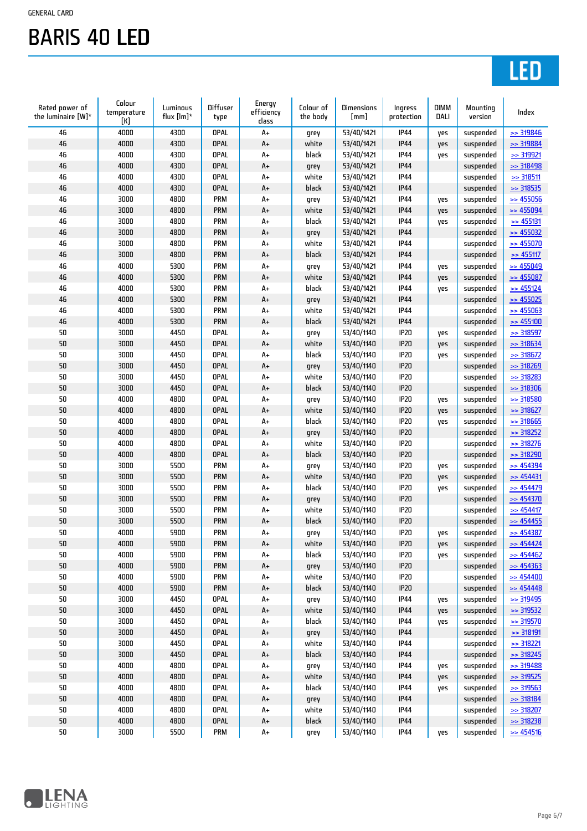# LED

| Rated power of<br>the luminaire [W]* | Colour<br>temperature<br>[K] | Luminous<br>flux [lm]* | Diffuser<br>type | Energy<br>efficiency<br>class | Colour of<br>the body | <b>Dimensions</b><br>[mm] | Ingress<br>protection | <b>DIMM</b><br>DALI | Mounting<br>version | Index                |
|--------------------------------------|------------------------------|------------------------|------------------|-------------------------------|-----------------------|---------------------------|-----------------------|---------------------|---------------------|----------------------|
| 46                                   | 4000                         | 4300                   | <b>OPAL</b>      | A+                            | grey                  | 53/40/1421                | <b>IP44</b>           | yes                 | suspended           | $\geq$ 319846        |
| 46                                   | 4000                         | 4300                   | <b>OPAL</b>      | A+                            | white                 | 53/40/1421                | <b>IP44</b>           | yes                 | suspended           | >> 319884            |
| 46                                   | 4000                         | 4300                   | <b>OPAL</b>      | A+                            | black                 | 53/40/1421                | <b>IP44</b>           | yes                 | suspended           | >> 319921            |
| 46                                   | 4000                         | 4300                   | <b>OPAL</b>      | A+                            | grey                  | 53/40/1421                | <b>IP44</b>           |                     | suspended           | >> 318498            |
| 46                                   | 4000                         | 4300                   | <b>OPAL</b>      | A+                            | white                 | 53/40/1421                | <b>IP44</b>           |                     | suspended           | $\ge$ 318511         |
| 46                                   | 4000                         | 4300                   | <b>OPAL</b>      | A+                            | black                 | 53/40/1421                | <b>IP44</b>           |                     | suspended           | $\ge$ 318535         |
| 46                                   | 3000                         | 4800                   | PRM              | A+                            | grey                  | 53/40/1421                | <b>IP44</b>           | yes                 | suspended           | $\Rightarrow$ 455056 |
| 46                                   | 3000                         | 4800                   | <b>PRM</b>       | A+                            | white                 | 53/40/1421                | <b>IP44</b>           | yes                 | suspended           | $\geq$ 455094        |
| 46                                   | 3000                         | 4800                   | <b>PRM</b>       | A+                            | black                 | 53/40/1421                | <b>IP44</b>           | yes                 | suspended           | $\geq$ 455131        |
| 46                                   | 3000                         | 4800                   | <b>PRM</b>       | A+                            | grey                  | 53/40/1421                | <b>IP44</b>           |                     | suspended           | $\geq$ 455032        |
| 46                                   | 3000                         | 4800                   | PRM              | A+                            | white                 | 53/40/1421                | <b>IP44</b>           |                     | suspended           | $\geq$ 455070        |
| 46                                   | 3000                         | 4800                   | <b>PRM</b>       | A+                            | black                 | 53/40/1421                | <b>IP44</b>           |                     |                     | $\geq$ 455117        |
| 46                                   | 4000                         | 5300                   | PRM              |                               |                       |                           | <b>IP44</b>           |                     | suspended           |                      |
|                                      |                              |                        |                  | A+                            | grey                  | 53/40/1421                |                       | yes                 | suspended           | $\geq$ 455049        |
| 46                                   | 4000                         | 5300                   | <b>PRM</b>       | $A+$                          | white                 | 53/40/1421                | <b>IP44</b>           | yes                 | suspended           | $\geq$ 455087        |
| 46                                   | 4000                         | 5300                   | <b>PRM</b>       | A+                            | black                 | 53/40/1421                | <b>IP44</b>           | yes                 | suspended           | $\Rightarrow$ 455124 |
| 46                                   | 4000                         | 5300                   | <b>PRM</b>       | A+                            | grey                  | 53/40/1421                | <b>IP44</b>           |                     | suspended           | $\geq$ 455025        |
| 46                                   | 4000                         | 5300                   | <b>PRM</b>       | A+                            | white                 | 53/40/1421                | <b>IP44</b>           |                     | suspended           | $\geq$ 455063        |
| 46                                   | 4000                         | 5300                   | <b>PRM</b>       | A+                            | black                 | 53/40/1421                | <b>IP44</b>           |                     | suspended           | $\geq$ 455100        |
| 50                                   | 3000                         | 4450                   | <b>OPAL</b>      | A+                            | grey                  | 53/40/1140                | IP20                  | yes                 | suspended           | >> 318597            |
| 50                                   | 3000                         | 4450                   | <b>OPAL</b>      | A+                            | white                 | 53/40/1140                | <b>IP20</b>           | yes                 | suspended           | $\geq$ 318634        |
| 50                                   | 3000                         | 4450                   | <b>OPAL</b>      | A+                            | black                 | 53/40/1140                | IP20                  | yes                 | suspended           | $\geq$ 318672        |
| 50                                   | 3000                         | 4450                   | <b>OPAL</b>      | A+                            | grey                  | 53/40/1140                | <b>IP20</b>           |                     | suspended           | $\ge$ 318269         |
| 50                                   | 3000                         | 4450                   | <b>OPAL</b>      | A+                            | white                 | 53/40/1140                | IP20                  |                     | suspended           | $\geq$ 318283        |
| 50                                   | 3000                         | 4450                   | <b>OPAL</b>      | A+                            | black                 | 53/40/1140                | <b>IP20</b>           |                     | suspended           | $>$ 318306           |
| 50                                   | 4000                         | 4800                   | <b>OPAL</b>      | A+                            | grey                  | 53/40/1140                | IP20                  | yes                 | suspended           | >> 318580            |
| 50                                   | 4000                         | 4800                   | <b>OPAL</b>      | A+                            | white                 | 53/40/1140                | IP20                  | yes                 | suspended           | $\geq$ 318627        |
| 50                                   | 4000                         | 4800                   | <b>OPAL</b>      | A+                            | black                 | 53/40/1140                | IP20                  | yes                 | suspended           | $>$ 318665           |
| 50                                   | 4000                         | 4800                   | <b>OPAL</b>      | A+                            | grey                  | 53/40/1140                | <b>IP20</b>           |                     | suspended           | $\geq$ 318252        |
| 50                                   | 4000                         | 4800                   | <b>OPAL</b>      | A+                            | white                 | 53/40/1140                | IP20                  |                     | suspended           | $\geq$ 318276        |
| 50                                   | 4000                         | 4800                   | <b>OPAL</b>      | A+                            | black                 | 53/40/1140                | <b>IP20</b>           |                     | suspended           | $\geq$ 318290        |
| 50                                   | 3000                         | 5500                   | <b>PRM</b>       | A+                            | grey                  | 53/40/1140                | IP20                  | yes                 | suspended           | $\Rightarrow$ 454394 |
| 50                                   | 3000                         | 5500                   | <b>PRM</b>       | A+                            | white                 | 53/40/1140                | <b>IP20</b>           | yes                 | suspended           | $\geq$ 454431        |
| 50                                   | 3000                         | 5500                   | <b>PRM</b>       | A+                            | black                 | 53/40/1140                | IP20                  | yes                 | suspended           | $\geq$ 454479        |
| 50                                   | 3000                         | 5500                   | <b>PRM</b>       | A+                            | grey                  | 53/40/1140                | IP20                  |                     | suspended           | $\geq$ 454370        |
| 50                                   | 3000                         | 5500                   | <b>PRM</b>       | A+                            | white                 | 53/40/1140                | IP20                  |                     | suspended           | $\Rightarrow$ 454417 |
| 50                                   | 3000                         | 5500                   | <b>PRM</b>       | A+                            | black                 | 53/40/1140                | <b>IP20</b>           |                     | suspended           | $\ge$ 454455         |
| 50                                   | 4000                         | 5900                   | PRM              | A+                            | grey                  | 53/40/1140                | <b>IP20</b>           | yes                 | suspended           | $\Rightarrow$ 454387 |
| 50                                   | 4000                         | 5900                   | PRM              | $\mathsf{A}\texttt{+}$        | white                 | 53/40/1140                | IP20                  | yes                 | suspended           | $\geq$ 454424        |
| 50                                   | 4000                         | 5900                   | <b>PRM</b>       | A+                            | black                 | 53/40/1140                | IP20                  | yes                 | suspended           | $\geq$ 454462        |
| 50                                   | 4000                         | 5900                   | PRM              | A+                            | grey                  | 53/40/1140                | IP20                  |                     | suspended           | $\geq$ 454363        |
| 50                                   | 4000                         | 5900                   | PRM              | A+                            | white                 | 53/40/1140                | IP20                  |                     | suspended           | $\geq$ 454400        |
| 50                                   | 4000                         | 5900                   | PRM              | $\mathsf{A}\texttt{+}$        | black                 | 53/40/1140                | IP20                  |                     | suspended           | $\geq$ 454448        |
|                                      |                              |                        |                  |                               |                       |                           |                       |                     |                     |                      |
| 50                                   | 3000                         | 4450                   | <b>OPAL</b>      | A+                            | grey                  | 53/40/1140                | <b>IP44</b>           | yes                 | suspended           | $>$ 319495           |
| 50                                   | 3000                         | 4450                   | OPAL             | A+                            | white                 | 53/40/1140                | <b>IP44</b>           | yes                 | suspended           | $\geq$ 319532        |
| 50                                   | 3000                         | 4450                   | <b>OPAL</b>      | A+                            | black                 | 53/40/1140                | <b>IP44</b>           | yes                 | suspended           | >> 319570            |
| 50                                   | 3000                         | 4450                   | <b>OPAL</b>      | A+                            | grey                  | 53/40/1140                | <b>IP44</b>           |                     | suspended           | >318191              |
| 50                                   | 3000                         | 4450                   | <b>OPAL</b>      | A+                            | white                 | 53/40/1140                | <b>IP44</b>           |                     | suspended           | >> 318221            |
| 50                                   | 3000                         | 4450                   | <b>OPAL</b>      | A+                            | black                 | 53/40/1140                | <b>IP44</b>           |                     | suspended           | $\geq$ 318245        |
| 50                                   | 4000                         | 4800                   | <b>OPAL</b>      | A+                            | grey                  | 53/40/1140                | <b>IP44</b>           | yes                 | suspended           | $\geq$ 319488        |
| 50                                   | 4000                         | 4800                   | <b>OPAL</b>      | A+                            | white                 | 53/40/1140                | <b>IP44</b>           | yes                 | suspended           | $\geq$ 319525        |
| 50                                   | 4000                         | 4800                   | <b>OPAL</b>      | A+                            | black                 | 53/40/1140                | <b>IP44</b>           | yes                 | suspended           | $\geq$ 319563        |
| 50                                   | 4000                         | 4800                   | OPAL             | A+                            | grey                  | 53/40/1140                | <b>IP44</b>           |                     | suspended           | $\geq$ 318184        |
| 50                                   | 4000                         | 4800                   | <b>OPAL</b>      | A+                            | white                 | 53/40/1140                | <b>IP44</b>           |                     | suspended           | $\geq$ 318207        |
| 50                                   | 4000                         | 4800                   | OPAL             | $\mathsf{A}\texttt{+}$        | black                 | 53/40/1140                | <b>IP44</b>           |                     | suspended           | $\geq$ 318238        |
| 50                                   | 3000                         | 5500                   | PRM              | A+                            | grey                  | 53/40/1140                | <b>IP44</b>           | yes                 | suspended           | $\geq$ 454516        |